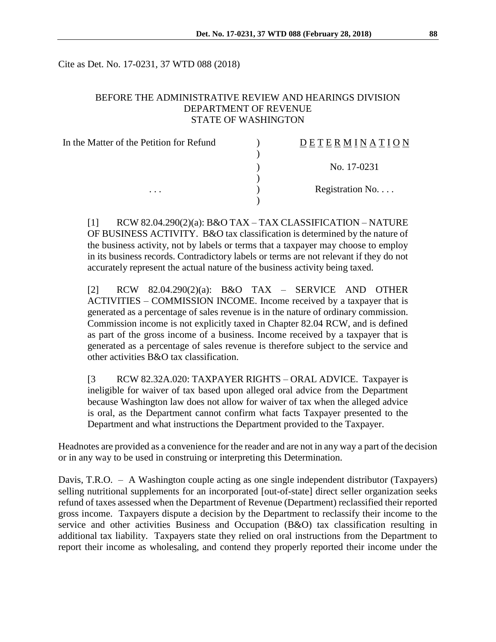Cite as Det. No. 17-0231, 37 WTD 088 (2018)

### BEFORE THE ADMINISTRATIVE REVIEW AND HEARINGS DIVISION DEPARTMENT OF REVENUE STATE OF WASHINGTON

| In the Matter of the Petition for Refund | DETERMINATION    |
|------------------------------------------|------------------|
|                                          |                  |
|                                          | No. 17-0231      |
|                                          |                  |
| $\cdots$                                 | Registration No. |
|                                          |                  |

[1] RCW 82.04.290(2)(a): B&O TAX – TAX CLASSIFICATION – NATURE OF BUSINESS ACTIVITY. B&O tax classification is determined by the nature of the business activity, not by labels or terms that a taxpayer may choose to employ in its business records. Contradictory labels or terms are not relevant if they do not accurately represent the actual nature of the business activity being taxed.

[2] RCW 82.04.290(2)(a): B&O TAX – SERVICE AND OTHER ACTIVITIES – COMMISSION INCOME. Income received by a taxpayer that is generated as a percentage of sales revenue is in the nature of ordinary commission. Commission income is not explicitly taxed in Chapter 82.04 RCW, and is defined as part of the gross income of a business. Income received by a taxpayer that is generated as a percentage of sales revenue is therefore subject to the service and other activities B&O tax classification.

[3 RCW 82.32A.020: TAXPAYER RIGHTS – ORAL ADVICE. Taxpayer is ineligible for waiver of tax based upon alleged oral advice from the Department because Washington law does not allow for waiver of tax when the alleged advice is oral, as the Department cannot confirm what facts Taxpayer presented to the Department and what instructions the Department provided to the Taxpayer.

Headnotes are provided as a convenience for the reader and are not in any way a part of the decision or in any way to be used in construing or interpreting this Determination.

Davis, T.R.O. – A Washington couple acting as one single independent distributor (Taxpayers) selling nutritional supplements for an incorporated [out-of-state] direct seller organization seeks refund of taxes assessed when the Department of Revenue (Department) reclassified their reported gross income. Taxpayers dispute a decision by the Department to reclassify their income to the service and other activities Business and Occupation (B&O) tax classification resulting in additional tax liability. Taxpayers state they relied on oral instructions from the Department to report their income as wholesaling, and contend they properly reported their income under the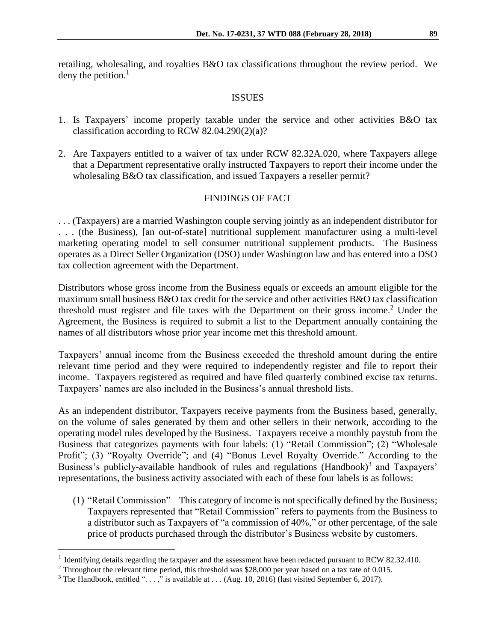retailing, wholesaling, and royalties B&O tax classifications throughout the review period. We deny the petition. $<sup>1</sup>$ </sup>

## ISSUES

- 1. Is Taxpayers' income properly taxable under the service and other activities B&O tax classification according to RCW  $82.04.290(2)(a)$ ?
- 2. Are Taxpayers entitled to a waiver of tax under RCW 82.32A.020, where Taxpayers allege that a Department representative orally instructed Taxpayers to report their income under the wholesaling B&O tax classification, and issued Taxpayers a reseller permit?

# FINDINGS OF FACT

. . . (Taxpayers) are a married Washington couple serving jointly as an independent distributor for . . . (the Business), [an out-of-state] nutritional supplement manufacturer using a multi-level marketing operating model to sell consumer nutritional supplement products. The Business operates as a Direct Seller Organization (DSO) under Washington law and has entered into a DSO tax collection agreement with the Department.

Distributors whose gross income from the Business equals or exceeds an amount eligible for the maximum small business B&O tax credit for the service and other activities B&O tax classification threshold must register and file taxes with the Department on their gross income.<sup>2</sup> Under the Agreement, the Business is required to submit a list to the Department annually containing the names of all distributors whose prior year income met this threshold amount.

Taxpayers' annual income from the Business exceeded the threshold amount during the entire relevant time period and they were required to independently register and file to report their income. Taxpayers registered as required and have filed quarterly combined excise tax returns. Taxpayers' names are also included in the Business's annual threshold lists.

As an independent distributor, Taxpayers receive payments from the Business based, generally, on the volume of sales generated by them and other sellers in their network, according to the operating model rules developed by the Business. Taxpayers receive a monthly paystub from the Business that categorizes payments with four labels: (1) "Retail Commission"; (2) "Wholesale Profit"; (3) "Royalty Override"; and (4) "Bonus Level Royalty Override." According to the Business's publicly-available handbook of rules and regulations (Handbook)<sup>3</sup> and Taxpayers' representations, the business activity associated with each of these four labels is as follows:

(1) "Retail Commission" – This category of income is not specifically defined by the Business; Taxpayers represented that "Retail Commission" refers to payments from the Business to a distributor such as Taxpayers of "a commission of 40%," or other percentage, of the sale price of products purchased through the distributor's Business website by customers.

 $\overline{a}$ 

<sup>&</sup>lt;sup>1</sup> Identifying details regarding the taxpayer and the assessment have been redacted pursuant to RCW 82.32.410.

<sup>2</sup> Throughout the relevant time period, this threshold was \$28,000 per year based on a tax rate of 0.015.

<sup>&</sup>lt;sup>3</sup> The Handbook, entitled "...," is available at ... (Aug. 10, 2016) (last visited September 6, 2017).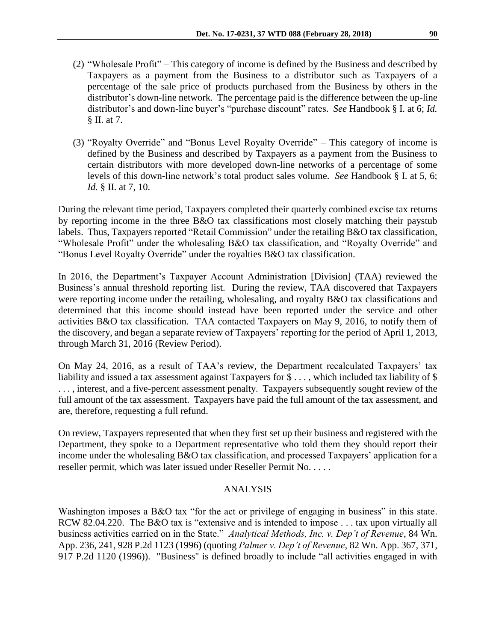- (2) "Wholesale Profit" This category of income is defined by the Business and described by Taxpayers as a payment from the Business to a distributor such as Taxpayers of a percentage of the sale price of products purchased from the Business by others in the distributor's down-line network. The percentage paid is the difference between the up-line distributor's and down-line buyer's "purchase discount" rates. *See* Handbook § I. at 6; *Id.* § II. at 7.
- (3) "Royalty Override" and "Bonus Level Royalty Override" This category of income is defined by the Business and described by Taxpayers as a payment from the Business to certain distributors with more developed down-line networks of a percentage of some levels of this down-line network's total product sales volume. *See* Handbook § I. at 5, 6; *Id.* § II. at 7, 10.

During the relevant time period, Taxpayers completed their quarterly combined excise tax returns by reporting income in the three B&O tax classifications most closely matching their paystub labels. Thus, Taxpayers reported "Retail Commission" under the retailing B&O tax classification, "Wholesale Profit" under the wholesaling B&O tax classification, and "Royalty Override" and "Bonus Level Royalty Override" under the royalties B&O tax classification.

In 2016, the Department's Taxpayer Account Administration [Division] (TAA) reviewed the Business's annual threshold reporting list. During the review, TAA discovered that Taxpayers were reporting income under the retailing, wholesaling, and royalty B&O tax classifications and determined that this income should instead have been reported under the service and other activities B&O tax classification. TAA contacted Taxpayers on May 9, 2016, to notify them of the discovery, and began a separate review of Taxpayers' reporting for the period of April 1, 2013, through March 31, 2016 (Review Period).

On May 24, 2016, as a result of TAA's review, the Department recalculated Taxpayers' tax liability and issued a tax assessment against Taxpayers for \$..., which included tax liability of \$ ..., interest, and a five-percent assessment penalty. Taxpayers subsequently sought review of the full amount of the tax assessment. Taxpayers have paid the full amount of the tax assessment, and are, therefore, requesting a full refund.

On review, Taxpayers represented that when they first set up their business and registered with the Department, they spoke to a Department representative who told them they should report their income under the wholesaling B&O tax classification, and processed Taxpayers' application for a reseller permit, which was later issued under Reseller Permit No. . . . .

# ANALYSIS

Washington imposes a B&O tax "for the act or privilege of engaging in business" in this state. RCW 82.04.220. The B&O tax is "extensive and is intended to impose . . . tax upon virtually all business activities carried on in the State." *Analytical Methods, Inc. v. Dep't of Revenue*, 84 Wn. App. 236, 241, 928 P.2d 1123 (1996) (quoting *Palmer v. Dep't of Revenue*, 82 Wn. App. 367, 371, 917 P.2d 1120 (1996)). "Business" is defined broadly to include "all activities engaged in with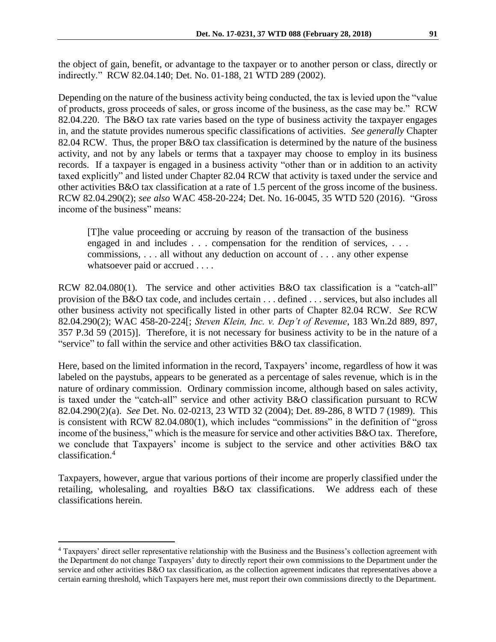the object of gain, benefit, or advantage to the taxpayer or to another person or class, directly or indirectly." RCW 82.04.140; Det. No. 01-188, 21 WTD 289 (2002).

Depending on the nature of the business activity being conducted, the tax is levied upon the "value of products, gross proceeds of sales, or gross income of the business, as the case may be." RCW 82.04.220. The B&O tax rate varies based on the type of business activity the taxpayer engages in, and the statute provides numerous specific classifications of activities. *See generally* Chapter 82.04 RCW. Thus, the proper B&O tax classification is determined by the nature of the business activity, and not by any labels or terms that a taxpayer may choose to employ in its business records. If a taxpayer is engaged in a business activity "other than or in addition to an activity taxed explicitly" and listed under Chapter 82.04 RCW that activity is taxed under the service and other activities B&O tax classification at a rate of 1.5 percent of the gross income of the business. RCW 82.04.290(2); *see also* WAC 458-20-224; Det. No. 16-0045, 35 WTD 520 (2016). "Gross income of the business" means:

[T]he value proceeding or accruing by reason of the transaction of the business engaged in and includes . . . compensation for the rendition of services, . . . commissions, . . . all without any deduction on account of . . . any other expense whatsoever paid or accrued . . . .

RCW 82.04.080(1). The service and other activities B&O tax classification is a "catch-all" provision of the B&O tax code, and includes certain . . . defined . . . services, but also includes all other business activity not specifically listed in other parts of Chapter 82.04 RCW. *See* RCW 82.04.290(2); WAC 458-20-224[; *Steven Klein, Inc. v. Dep't of Revenue*, 183 Wn.2d 889, 897, 357 P.3d 59 (2015)]. Therefore, it is not necessary for business activity to be in the nature of a "service" to fall within the service and other activities B&O tax classification.

Here, based on the limited information in the record, Taxpayers' income, regardless of how it was labeled on the paystubs, appears to be generated as a percentage of sales revenue, which is in the nature of ordinary commission. Ordinary commission income, although based on sales activity, is taxed under the "catch-all" service and other activity B&O classification pursuant to RCW 82.04.290(2)(a). *See* Det. No. 02-0213, 23 WTD 32 (2004); Det. 89-286, 8 WTD 7 (1989). This is consistent with RCW 82.04.080(1), which includes "commissions" in the definition of "gross income of the business," which is the measure for service and other activities B&O tax. Therefore, we conclude that Taxpayers' income is subject to the service and other activities B&O tax classification.<sup>4</sup>

Taxpayers, however, argue that various portions of their income are properly classified under the retailing, wholesaling, and royalties B&O tax classifications. We address each of these classifications herein.

 $\overline{a}$ 

<sup>4</sup> Taxpayers' direct seller representative relationship with the Business and the Business's collection agreement with the Department do not change Taxpayers' duty to directly report their own commissions to the Department under the service and other activities B&O tax classification, as the collection agreement indicates that representatives above a certain earning threshold, which Taxpayers here met, must report their own commissions directly to the Department.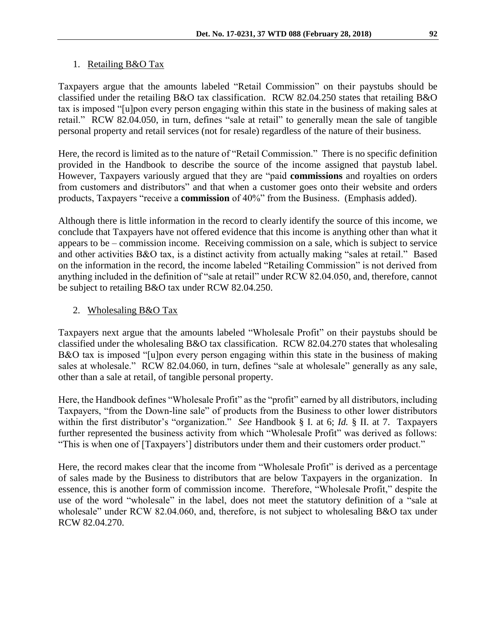### 1. Retailing B&O Tax

Taxpayers argue that the amounts labeled "Retail Commission" on their paystubs should be classified under the retailing B&O tax classification. RCW 82.04.250 states that retailing B&O tax is imposed "[u]pon every person engaging within this state in the business of making sales at retail." RCW 82.04.050, in turn, defines "sale at retail" to generally mean the sale of tangible personal property and retail services (not for resale) regardless of the nature of their business.

Here, the record is limited as to the nature of "Retail Commission." There is no specific definition provided in the Handbook to describe the source of the income assigned that paystub label. However, Taxpayers variously argued that they are "paid **commissions** and royalties on orders from customers and distributors" and that when a customer goes onto their website and orders products, Taxpayers "receive a **commission** of 40%" from the Business. (Emphasis added).

Although there is little information in the record to clearly identify the source of this income, we conclude that Taxpayers have not offered evidence that this income is anything other than what it appears to be – commission income. Receiving commission on a sale, which is subject to service and other activities B&O tax, is a distinct activity from actually making "sales at retail." Based on the information in the record, the income labeled "Retailing Commission" is not derived from anything included in the definition of "sale at retail" under RCW 82.04.050, and, therefore, cannot be subject to retailing B&O tax under RCW 82.04.250.

## 2. Wholesaling B&O Tax

Taxpayers next argue that the amounts labeled "Wholesale Profit" on their paystubs should be classified under the wholesaling B&O tax classification. RCW 82.04.270 states that wholesaling B&O tax is imposed "[u]pon every person engaging within this state in the business of making sales at wholesale." RCW 82.04.060, in turn, defines "sale at wholesale" generally as any sale, other than a sale at retail, of tangible personal property.

Here, the Handbook defines "Wholesale Profit" as the "profit" earned by all distributors, including Taxpayers, "from the Down-line sale" of products from the Business to other lower distributors within the first distributor's "organization." *See* Handbook § I. at 6; *Id.* § II. at 7. Taxpayers further represented the business activity from which "Wholesale Profit" was derived as follows: "This is when one of [Taxpayers'] distributors under them and their customers order product."

Here, the record makes clear that the income from "Wholesale Profit" is derived as a percentage of sales made by the Business to distributors that are below Taxpayers in the organization. In essence, this is another form of commission income. Therefore, "Wholesale Profit," despite the use of the word "wholesale" in the label, does not meet the statutory definition of a "sale at wholesale" under RCW 82.04.060, and, therefore, is not subject to wholesaling B&O tax under RCW 82.04.270.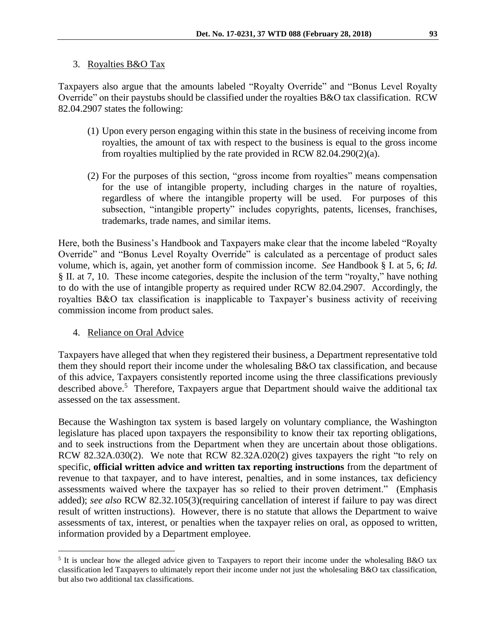#### 3. Royalties B&O Tax

Taxpayers also argue that the amounts labeled "Royalty Override" and "Bonus Level Royalty Override" on their paystubs should be classified under the royalties B&O tax classification. RCW 82.04.2907 states the following:

- (1) Upon every person engaging within this state in the business of receiving income from royalties, the amount of tax with respect to the business is equal to the gross income from royalties multiplied by the rate provided in RCW 82.04.290(2)(a).
- (2) For the purposes of this section, "gross income from royalties" means compensation for the use of intangible property, including charges in the nature of royalties, regardless of where the intangible property will be used. For purposes of this subsection, "intangible property" includes copyrights, patents, licenses, franchises, trademarks, trade names, and similar items.

Here, both the Business's Handbook and Taxpayers make clear that the income labeled "Royalty Override" and "Bonus Level Royalty Override" is calculated as a percentage of product sales volume, which is, again, yet another form of commission income. *See* Handbook § I. at 5, 6; *Id.*  § II. at 7, 10. These income categories, despite the inclusion of the term "royalty," have nothing to do with the use of intangible property as required under RCW 82.04.2907. Accordingly, the royalties B&O tax classification is inapplicable to Taxpayer's business activity of receiving commission income from product sales.

4. Reliance on Oral Advice

 $\overline{a}$ 

Taxpayers have alleged that when they registered their business, a Department representative told them they should report their income under the wholesaling B&O tax classification, and because of this advice, Taxpayers consistently reported income using the three classifications previously described above.<sup>5</sup> Therefore, Taxpayers argue that Department should waive the additional tax assessed on the tax assessment.

Because the Washington tax system is based largely on voluntary compliance, the Washington legislature has placed upon taxpayers the responsibility to know their tax reporting obligations, and to seek instructions from the Department when they are uncertain about those obligations. RCW 82.32A.030(2). We note that RCW 82.32A.020(2) gives taxpayers the right "to rely on specific, **official written advice and written tax reporting instructions** from the department of revenue to that taxpayer, and to have interest, penalties, and in some instances, tax deficiency assessments waived where the taxpayer has so relied to their proven detriment." (Emphasis added); *see also* RCW 82.32.105(3)(requiring cancellation of interest if failure to pay was direct result of written instructions). However, there is no statute that allows the Department to waive assessments of tax, interest, or penalties when the taxpayer relies on oral, as opposed to written, information provided by a Department employee.

<sup>&</sup>lt;sup>5</sup> It is unclear how the alleged advice given to Taxpayers to report their income under the wholesaling B&O tax classification led Taxpayers to ultimately report their income under not just the wholesaling B&O tax classification, but also two additional tax classifications.